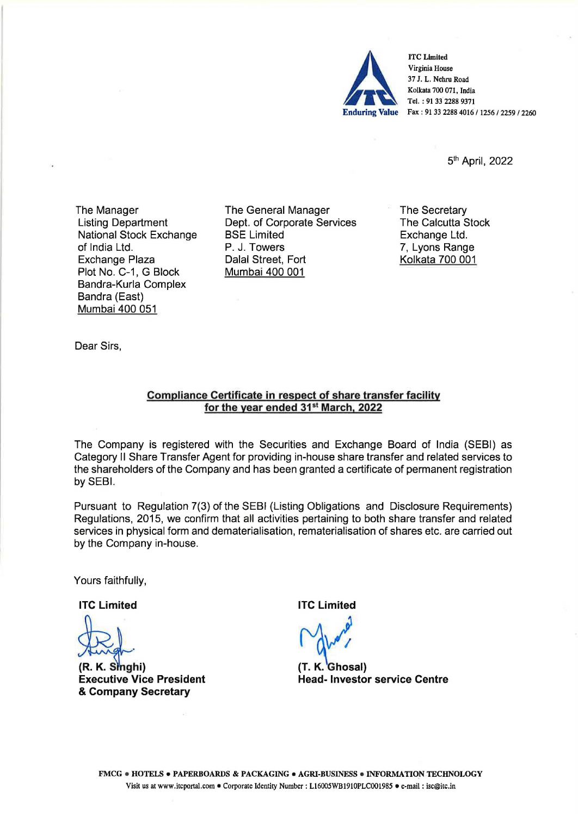

**A** ITC **Limited Enduring Value** Fax : 91 33 2288 4016 / 1256 / 2259 / 2260 Virginia House 37 J. L. Nehru Road Kolkata 700 071, India Tel. : 91 33 2288 9371

5th April, 2022

The Manager Listing Department National Stock Exchange of India Ltd. Exchange Plaza Plot No. C-1, G Block Bandra-Kurla Complex Bandra (East) Mumbai 400 051

The General Manager Dept. of Corporate Services BSE Limited P. J. Towers Dalal Street, Fort Mumbai 400 001

The Secretary The Calcutta Stock Exchange Ltd. 7, Lyons Range Kolkata 700 001

Dear Sirs,

## **Compliance Certificate in respect of share transfer facility**  for the year ended 31<sup>st</sup> March, 2022

The Company is registered with the Securities and Exchange Board of India (SEBI) as Category II Share Transfer Agent for providing in-house share transfer and related services to the shareholders of the Company and has been granted a certificate of permanent registration by SEBI.

Pursuant to Regulation 7(3) of the SEBI (Listing Obligations and Disclosure Requirements) Regulations, 2015, we confirm that all activities pertaining to both share transfer and related services in physical form and dematerialisation, rematerialisation of shares etc. are carried out by the Company in-house.

Yours faithfully,

**ITC Limited** 

(R. K. Singhi) **Executive Vice President**  & **Company Secretary** 

**ITC Limited** 

(T. K. Ghosal) **Head- Investor service Centre**